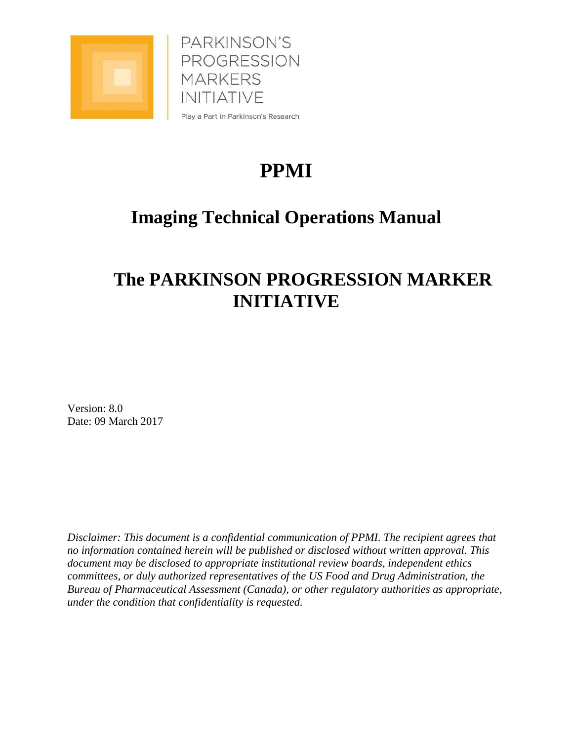

PARKINSON'S PROGRESSION **MARKERS INITIATIVE** Play a Part in Parkinson's Research

# **PPMI**

## **Imaging Technical Operations Manual**

## **The PARKINSON PROGRESSION MARKER INITIATIVE**

Version: 8.0 Date: 09 March 2017

*Disclaimer: This document is a confidential communication of PPMI. The recipient agrees that no information contained herein will be published or disclosed without written approval. This document may be disclosed to appropriate institutional review boards, independent ethics committees, or duly authorized representatives of the US Food and Drug Administration, the Bureau of Pharmaceutical Assessment (Canada), or other regulatory authorities as appropriate, under the condition that confidentiality is requested.*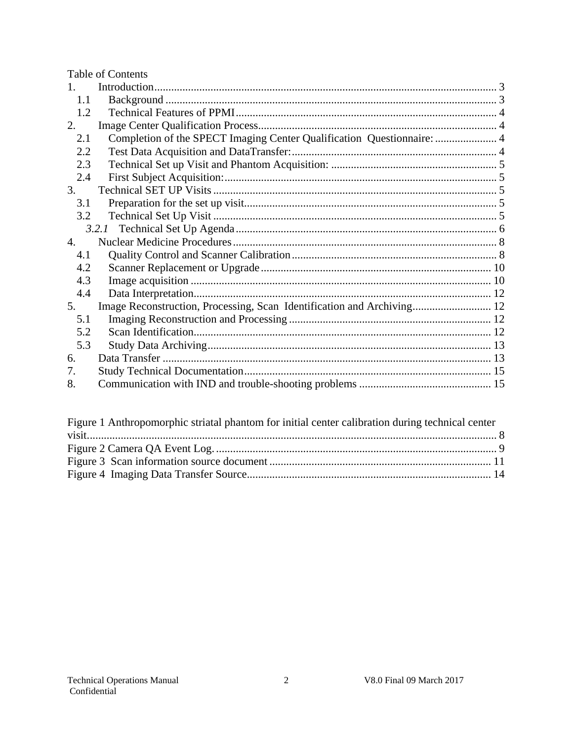|     | <b>Table of Contents</b>                                               |  |
|-----|------------------------------------------------------------------------|--|
|     |                                                                        |  |
| 1.1 |                                                                        |  |
| 1.2 |                                                                        |  |
| 2.  |                                                                        |  |
| 2.1 | Completion of the SPECT Imaging Center Qualification Questionnaire:  4 |  |
| 2.2 |                                                                        |  |
| 2.3 |                                                                        |  |
| 2.4 |                                                                        |  |
| 3.  |                                                                        |  |
| 3.1 |                                                                        |  |
| 3.2 |                                                                        |  |
|     |                                                                        |  |
| 4.  |                                                                        |  |
| 4.1 |                                                                        |  |
| 4.2 |                                                                        |  |
| 4.3 |                                                                        |  |
| 4.4 |                                                                        |  |
| 5.  | Image Reconstruction, Processing, Scan Identification and Archiving 12 |  |
| 5.1 |                                                                        |  |
| 5.2 |                                                                        |  |
| 5.3 |                                                                        |  |
| 6.  |                                                                        |  |
| 7.  |                                                                        |  |
| 8.  |                                                                        |  |
|     |                                                                        |  |

| Figure 1 Anthropomorphic striatal phantom for initial center calibration during technical center |  |
|--------------------------------------------------------------------------------------------------|--|
|                                                                                                  |  |
|                                                                                                  |  |
|                                                                                                  |  |
|                                                                                                  |  |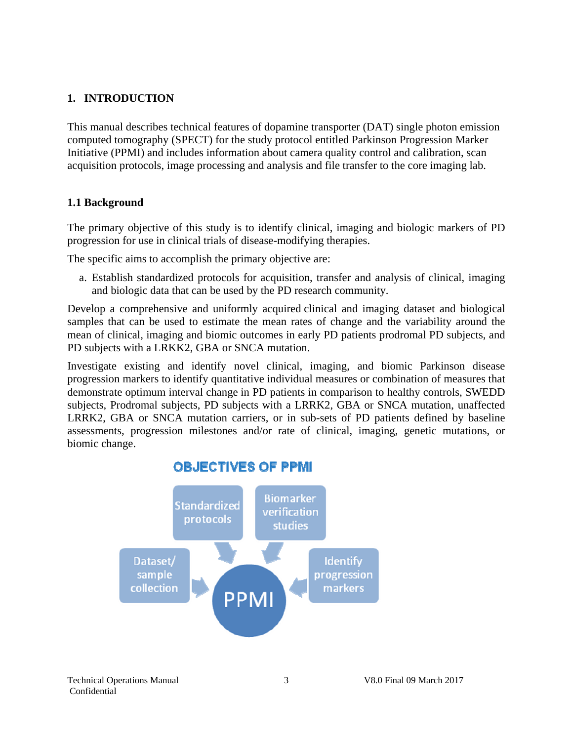## **1. INTRODUCTION**

This manual describes technical features of dopamine transporter (DAT) single photon emission computed tomography (SPECT) for the study protocol entitled Parkinson Progression Marker Initiative (PPMI) and includes information about camera quality control and calibration, scan acquisition protocols, image processing and analysis and file transfer to the core imaging lab.

#### **1.1 Background**

The primary objective of this study is to identify clinical, imaging and biologic markers of PD progression for use in clinical trials of disease-modifying therapies.

The specific aims to accomplish the primary objective are:

a. Establish standardized protocols for acquisition, transfer and analysis of clinical, imaging and biologic data that can be used by the PD research community.

Develop a comprehensive and uniformly acquired clinical and imaging dataset and biological samples that can be used to estimate the mean rates of change and the variability around the mean of clinical, imaging and biomic outcomes in early PD patients prodromal PD subjects, and PD subjects with a LRKK2, GBA or SNCA mutation.

Investigate existing and identify novel clinical, imaging, and biomic Parkinson disease progression markers to identify quantitative individual measures or combination of measures that demonstrate optimum interval change in PD patients in comparison to healthy controls, SWEDD subjects, Prodromal subjects, PD subjects with a LRRK2, GBA or SNCA mutation, unaffected LRRK2, GBA or SNCA mutation carriers, or in sub-sets of PD patients defined by baseline assessments, progression milestones and/or rate of clinical, imaging, genetic mutations, or biomic change.



## **OBJECTIVES OF PPMI**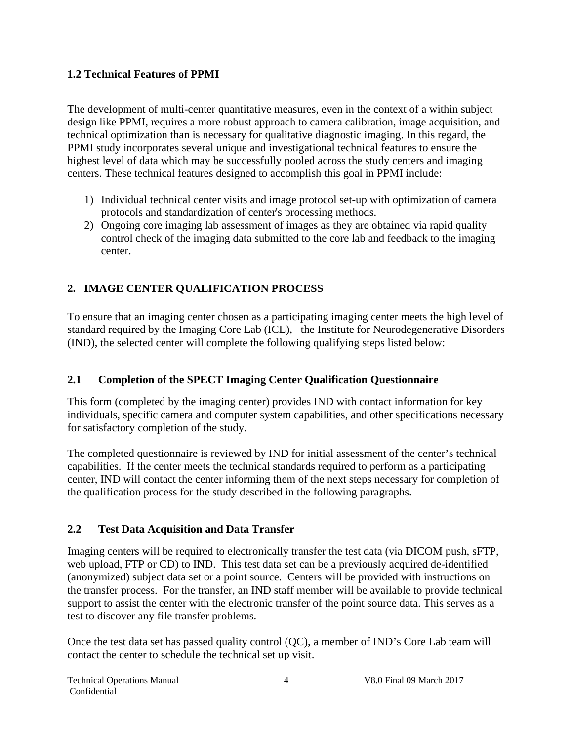#### **1.2 Technical Features of PPMI**

The development of multi-center quantitative measures, even in the context of a within subject design like PPMI, requires a more robust approach to camera calibration, image acquisition, and technical optimization than is necessary for qualitative diagnostic imaging. In this regard, the PPMI study incorporates several unique and investigational technical features to ensure the highest level of data which may be successfully pooled across the study centers and imaging centers. These technical features designed to accomplish this goal in PPMI include:

- 1) Individual technical center visits and image protocol set-up with optimization of camera protocols and standardization of center's processing methods.
- 2) Ongoing core imaging lab assessment of images as they are obtained via rapid quality control check of the imaging data submitted to the core lab and feedback to the imaging center.

## **2. IMAGE CENTER QUALIFICATION PROCESS**

To ensure that an imaging center chosen as a participating imaging center meets the high level of standard required by the Imaging Core Lab (ICL), the Institute for Neurodegenerative Disorders (IND), the selected center will complete the following qualifying steps listed below:

### **2.1 Completion of the SPECT Imaging Center Qualification Questionnaire**

This form (completed by the imaging center) provides IND with contact information for key individuals, specific camera and computer system capabilities, and other specifications necessary for satisfactory completion of the study.

The completed questionnaire is reviewed by IND for initial assessment of the center's technical capabilities. If the center meets the technical standards required to perform as a participating center, IND will contact the center informing them of the next steps necessary for completion of the qualification process for the study described in the following paragraphs.

### **2.2 Test Data Acquisition and Data Transfer**

Imaging centers will be required to electronically transfer the test data (via DICOM push, sFTP, web upload, FTP or CD) to IND. This test data set can be a previously acquired de-identified (anonymized) subject data set or a point source. Centers will be provided with instructions on the transfer process. For the transfer, an IND staff member will be available to provide technical support to assist the center with the electronic transfer of the point source data. This serves as a test to discover any file transfer problems.

Once the test data set has passed quality control (QC), a member of IND's Core Lab team will contact the center to schedule the technical set up visit.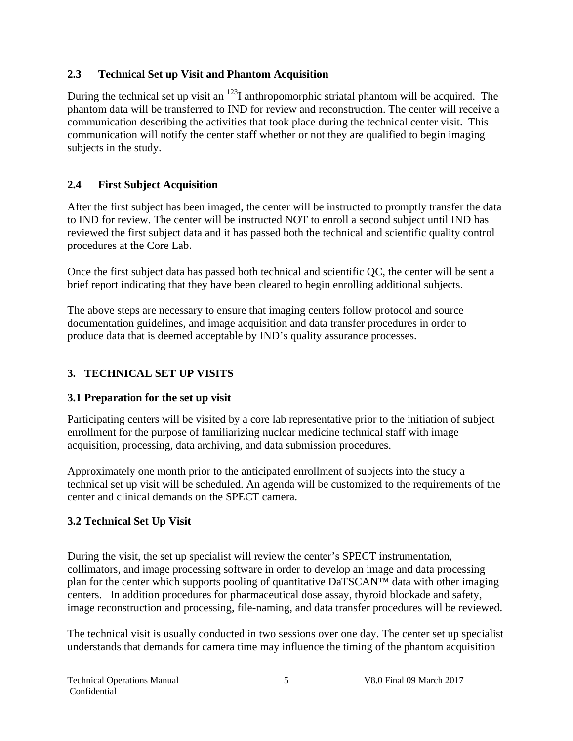#### **2.3 Technical Set up Visit and Phantom Acquisition**

During the technical set up visit an  $^{123}$ I anthropomorphic striatal phantom will be acquired. The phantom data will be transferred to IND for review and reconstruction. The center will receive a communication describing the activities that took place during the technical center visit. This communication will notify the center staff whether or not they are qualified to begin imaging subjects in the study.

## **2.4 First Subject Acquisition**

After the first subject has been imaged, the center will be instructed to promptly transfer the data to IND for review. The center will be instructed NOT to enroll a second subject until IND has reviewed the first subject data and it has passed both the technical and scientific quality control procedures at the Core Lab.

Once the first subject data has passed both technical and scientific QC, the center will be sent a brief report indicating that they have been cleared to begin enrolling additional subjects.

The above steps are necessary to ensure that imaging centers follow protocol and source documentation guidelines, and image acquisition and data transfer procedures in order to produce data that is deemed acceptable by IND's quality assurance processes.

## **3. TECHNICAL SET UP VISITS**

### **3.1 Preparation for the set up visit**

Participating centers will be visited by a core lab representative prior to the initiation of subject enrollment for the purpose of familiarizing nuclear medicine technical staff with image acquisition, processing, data archiving, and data submission procedures.

Approximately one month prior to the anticipated enrollment of subjects into the study a technical set up visit will be scheduled. An agenda will be customized to the requirements of the center and clinical demands on the SPECT camera.

## **3.2 Technical Set Up Visit**

During the visit, the set up specialist will review the center's SPECT instrumentation, collimators, and image processing software in order to develop an image and data processing plan for the center which supports pooling of quantitative DaTSCAN™ data with other imaging centers. In addition procedures for pharmaceutical dose assay, thyroid blockade and safety, image reconstruction and processing, file-naming, and data transfer procedures will be reviewed.

The technical visit is usually conducted in two sessions over one day. The center set up specialist understands that demands for camera time may influence the timing of the phantom acquisition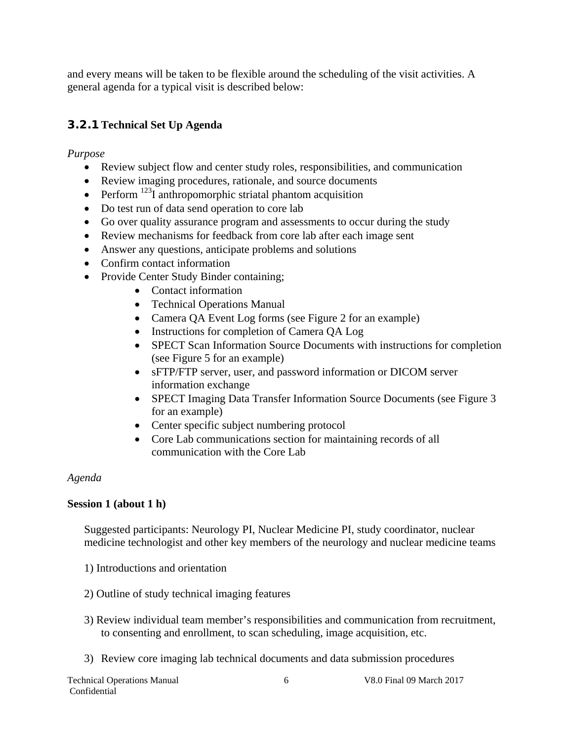and every means will be taken to be flexible around the scheduling of the visit activities. A general agenda for a typical visit is described below:

## **3.2.1 Technical Set Up Agenda**

*Purpose*

- Review subject flow and center study roles, responsibilities, and communication
- Review imaging procedures, rationale, and source documents
- Perform  $^{123}I$  anthropomorphic striatal phantom acquisition
- Do test run of data send operation to core lab
- Go over quality assurance program and assessments to occur during the study
- Review mechanisms for feedback from core lab after each image sent
- Answer any questions, anticipate problems and solutions
- Confirm contact information
- Provide Center Study Binder containing;
	- Contact information
	- Technical Operations Manual
	- Camera QA Event Log forms (see Figure 2 for an example)
	- Instructions for completion of Camera QA Log
	- SPECT Scan Information Source Documents with instructions for completion (see Figure 5 for an example)
	- sFTP/FTP server, user, and password information or DICOM server information exchange
	- SPECT Imaging Data Transfer Information Source Documents (see Figure 3 for an example)
	- Center specific subject numbering protocol
	- Core Lab communications section for maintaining records of all communication with the Core Lab

#### *Agenda*

#### **Session 1 (about 1 h)**

Suggested participants: Neurology PI, Nuclear Medicine PI, study coordinator, nuclear medicine technologist and other key members of the neurology and nuclear medicine teams

- 1) Introductions and orientation
- 2) Outline of study technical imaging features
- 3) Review individual team member's responsibilities and communication from recruitment, to consenting and enrollment, to scan scheduling, image acquisition, etc.
- 3) Review core imaging lab technical documents and data submission procedures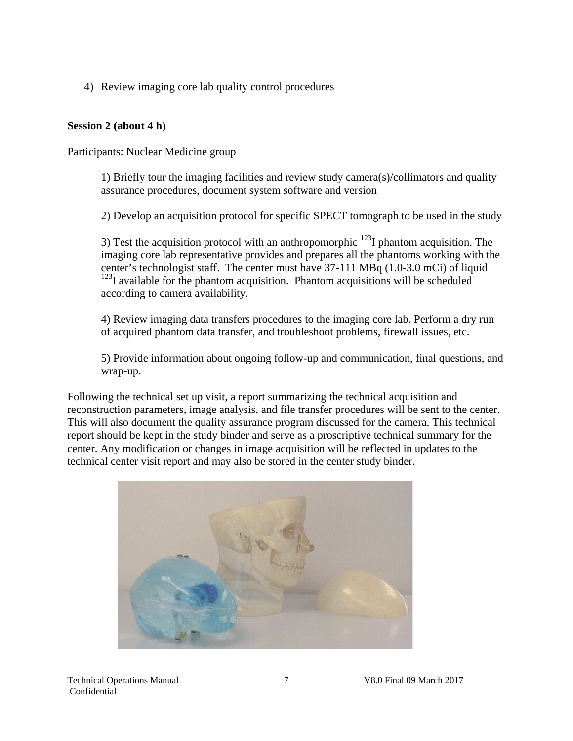4) Review imaging core lab quality control procedures

#### **Session 2 (about 4 h)**

Participants: Nuclear Medicine group

1) Briefly tour the imaging facilities and review study camera(s)/collimators and quality assurance procedures, document system software and version

2) Develop an acquisition protocol for specific SPECT tomograph to be used in the study

3) Test the acquisition protocol with an anthropomorphic  $^{123}$ I phantom acquisition. The imaging core lab representative provides and prepares all the phantoms working with the center's technologist staff. The center must have 37-111 MBq (1.0-3.0 mCi) of liquid  $123$ I available for the phantom acquisition. Phantom acquisitions will be scheduled according to camera availability.

4) Review imaging data transfers procedures to the imaging core lab. Perform a dry run of acquired phantom data transfer, and troubleshoot problems, firewall issues, etc.

5) Provide information about ongoing follow-up and communication, final questions, and wrap-up.

Following the technical set up visit, a report summarizing the technical acquisition and reconstruction parameters, image analysis, and file transfer procedures will be sent to the center. This will also document the quality assurance program discussed for the camera. This technical report should be kept in the study binder and serve as a proscriptive technical summary for the center. Any modification or changes in image acquisition will be reflected in updates to the technical center visit report and may also be stored in the center study binder.

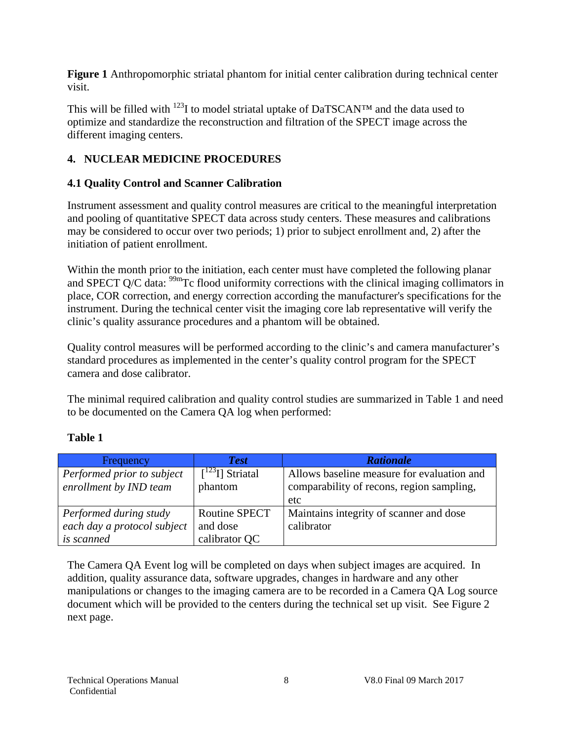**Figure 1** Anthropomorphic striatal phantom for initial center calibration during technical center visit.

This will be filled with  $123$ I to model striatal uptake of DaTSCAN<sup>TM</sup> and the data used to optimize and standardize the reconstruction and filtration of the SPECT image across the different imaging centers.

## **4. NUCLEAR MEDICINE PROCEDURES**

#### **4.1 Quality Control and Scanner Calibration**

Instrument assessment and quality control measures are critical to the meaningful interpretation and pooling of quantitative SPECT data across study centers. These measures and calibrations may be considered to occur over two periods; 1) prior to subject enrollment and, 2) after the initiation of patient enrollment.

Within the month prior to the initiation, each center must have completed the following planar and SPECT Q/C data:  $\frac{99 \text{m}}{2}$  Tc flood uniformity corrections with the clinical imaging collimators in place, COR correction, and energy correction according the manufacturer's specifications for the instrument. During the technical center visit the imaging core lab representative will verify the clinic's quality assurance procedures and a phantom will be obtained.

Quality control measures will be performed according to the clinic's and camera manufacturer's standard procedures as implemented in the center's quality control program for the SPECT camera and dose calibrator.

The minimal required calibration and quality control studies are summarized in Table 1 and need to be documented on the Camera QA log when performed:

#### **Table 1**

| <b>Frequency</b>            | <b>Test</b>                         | <b>Rationale</b>                           |
|-----------------------------|-------------------------------------|--------------------------------------------|
| Performed prior to subject  | $\lceil$ <sup>123</sup> I] Striatal | Allows baseline measure for evaluation and |
| enrollment by IND team      | phantom                             | comparability of recons, region sampling,  |
|                             |                                     | etc                                        |
| Performed during study      | <b>Routine SPECT</b>                | Maintains integrity of scanner and dose    |
| each day a protocol subject | and dose                            | calibrator                                 |
| is scanned                  | calibrator QC                       |                                            |

The Camera QA Event log will be completed on days when subject images are acquired. In addition, quality assurance data, software upgrades, changes in hardware and any other manipulations or changes to the imaging camera are to be recorded in a Camera QA Log source document which will be provided to the centers during the technical set up visit. See Figure 2 next page.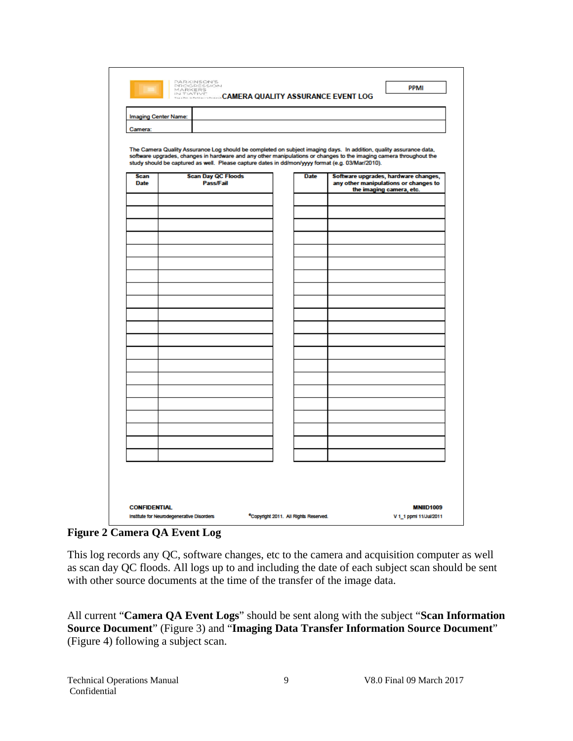|             | Imaging Center Name: |                           |  |             |                                                                                                                                                                                                                                                                                                                                              |  |
|-------------|----------------------|---------------------------|--|-------------|----------------------------------------------------------------------------------------------------------------------------------------------------------------------------------------------------------------------------------------------------------------------------------------------------------------------------------------------|--|
| Camera:     |                      |                           |  |             |                                                                                                                                                                                                                                                                                                                                              |  |
|             |                      |                           |  |             | The Camera Quality Assurance Log should be completed on subject imaging days. In addition, quality assurance data,<br>software upgrades, changes in hardware and any other manipulations or changes to the imaging camera throughout the<br>study should be captured as well. Please capture dates in dd/mon/yyyy format (e.g. 03/Mar/2010). |  |
| <b>Scan</b> |                      | <b>Scan Day QC Floods</b> |  | <b>Date</b> | Software upgrades, hardware changes,                                                                                                                                                                                                                                                                                                         |  |
| <b>Date</b> |                      | Pass/Fail                 |  |             | any other manipulations or changes to<br>the imaging camera, etc.                                                                                                                                                                                                                                                                            |  |
|             |                      |                           |  |             |                                                                                                                                                                                                                                                                                                                                              |  |
|             |                      |                           |  |             |                                                                                                                                                                                                                                                                                                                                              |  |
|             |                      |                           |  |             |                                                                                                                                                                                                                                                                                                                                              |  |
|             |                      |                           |  |             |                                                                                                                                                                                                                                                                                                                                              |  |
|             |                      |                           |  |             |                                                                                                                                                                                                                                                                                                                                              |  |
|             |                      |                           |  |             |                                                                                                                                                                                                                                                                                                                                              |  |
|             |                      |                           |  |             |                                                                                                                                                                                                                                                                                                                                              |  |
|             |                      |                           |  |             |                                                                                                                                                                                                                                                                                                                                              |  |
|             |                      |                           |  |             |                                                                                                                                                                                                                                                                                                                                              |  |
|             |                      |                           |  |             |                                                                                                                                                                                                                                                                                                                                              |  |
|             |                      |                           |  |             |                                                                                                                                                                                                                                                                                                                                              |  |
|             |                      |                           |  |             |                                                                                                                                                                                                                                                                                                                                              |  |
|             |                      |                           |  |             |                                                                                                                                                                                                                                                                                                                                              |  |
|             |                      |                           |  |             |                                                                                                                                                                                                                                                                                                                                              |  |
|             |                      |                           |  |             |                                                                                                                                                                                                                                                                                                                                              |  |
|             |                      |                           |  |             |                                                                                                                                                                                                                                                                                                                                              |  |
|             |                      |                           |  |             |                                                                                                                                                                                                                                                                                                                                              |  |
|             |                      |                           |  |             |                                                                                                                                                                                                                                                                                                                                              |  |
|             |                      |                           |  |             |                                                                                                                                                                                                                                                                                                                                              |  |
|             |                      |                           |  |             |                                                                                                                                                                                                                                                                                                                                              |  |
|             |                      |                           |  |             |                                                                                                                                                                                                                                                                                                                                              |  |
|             |                      |                           |  |             |                                                                                                                                                                                                                                                                                                                                              |  |
|             |                      |                           |  |             |                                                                                                                                                                                                                                                                                                                                              |  |
|             |                      |                           |  |             |                                                                                                                                                                                                                                                                                                                                              |  |
|             |                      |                           |  |             |                                                                                                                                                                                                                                                                                                                                              |  |
|             |                      |                           |  |             |                                                                                                                                                                                                                                                                                                                                              |  |

**Figure 2 Camera QA Event Log** 

This log records any QC, software changes, etc to the camera and acquisition computer as well as scan day QC floods. All logs up to and including the date of each subject scan should be sent with other source documents at the time of the transfer of the image data.

All current "**Camera QA Event Logs**" should be sent along with the subject "**Scan Information Source Document**" (Figure 3) and "**Imaging Data Transfer Information Source Document**" (Figure 4) following a subject scan.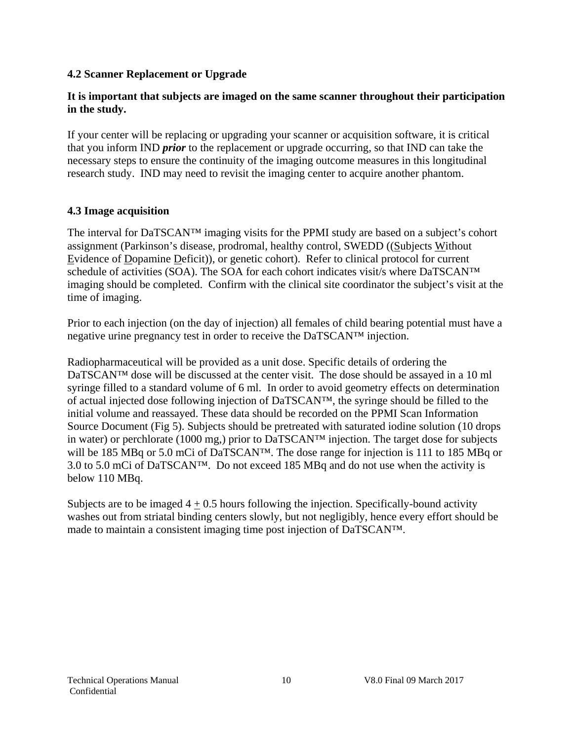#### **4.2 Scanner Replacement or Upgrade**

#### **It is important that subjects are imaged on the same scanner throughout their participation in the study.**

If your center will be replacing or upgrading your scanner or acquisition software, it is critical that you inform IND *prior* to the replacement or upgrade occurring, so that IND can take the necessary steps to ensure the continuity of the imaging outcome measures in this longitudinal research study. IND may need to revisit the imaging center to acquire another phantom.

#### **4.3 Image acquisition**

The interval for DaTSCAN™ imaging visits for the PPMI study are based on a subject's cohort assignment (Parkinson's disease, prodromal, healthy control, SWEDD ((Subjects Without Evidence of Dopamine Deficit)), or genetic cohort). Refer to clinical protocol for current schedule of activities (SOA). The SOA for each cohort indicates visit/s where DaTSCAN<sup>TM</sup> imaging should be completed. Confirm with the clinical site coordinator the subject's visit at the time of imaging.

Prior to each injection (on the day of injection) all females of child bearing potential must have a negative urine pregnancy test in order to receive the DaTSCAN™ injection.

Radiopharmaceutical will be provided as a unit dose. Specific details of ordering the DaTSCAN™ dose will be discussed at the center visit. The dose should be assayed in a 10 ml syringe filled to a standard volume of 6 ml. In order to avoid geometry effects on determination of actual injected dose following injection of DaTSCAN™, the syringe should be filled to the initial volume and reassayed. These data should be recorded on the PPMI Scan Information Source Document (Fig 5). Subjects should be pretreated with saturated iodine solution (10 drops in water) or perchlorate (1000 mg,) prior to DaTSCAN™ injection. The target dose for subjects will be 185 MBq or 5.0 mCi of DaTSCAN™. The dose range for injection is 111 to 185 MBq or 3.0 to 5.0 mCi of DaTSCAN™. Do not exceed 185 MBq and do not use when the activity is below 110 MBq.

Subjects are to be imaged  $4 + 0.5$  hours following the injection. Specifically-bound activity washes out from striatal binding centers slowly, but not negligibly, hence every effort should be made to maintain a consistent imaging time post injection of DaTSCAN™.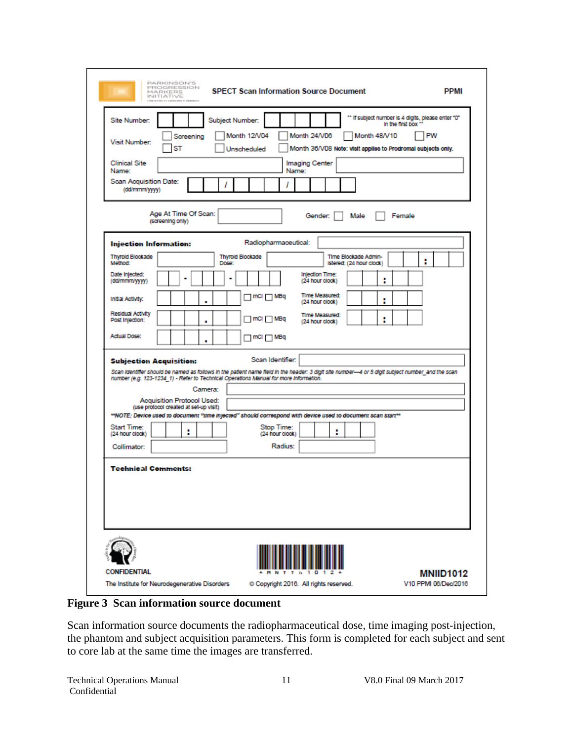| Site Number:                            |                                                                             | Subject Number:                                                                                                                                                                                                                           |                               |                                                  |              | " If subject number is 4 digits, please enter "0"<br>In the first box " |
|-----------------------------------------|-----------------------------------------------------------------------------|-------------------------------------------------------------------------------------------------------------------------------------------------------------------------------------------------------------------------------------------|-------------------------------|--------------------------------------------------|--------------|-------------------------------------------------------------------------|
| <b>Visit Number:</b>                    | Screening<br>ST                                                             | Month 12/V04<br>Unscheduled                                                                                                                                                                                                               | Month 24/V06                  |                                                  | Month 48/V10 | PW<br>Month 36/V08 Note: visit applies to Prodromal subjects only.      |
| <b>Clinical Site</b><br>Name:           |                                                                             |                                                                                                                                                                                                                                           | Imaging Center<br>Name:       |                                                  |              |                                                                         |
| Scan Acquisition Date:<br>(dd/mmm/yyyy) |                                                                             |                                                                                                                                                                                                                                           |                               |                                                  |              |                                                                         |
|                                         | Age At Time Of Scan:<br>(screening only)                                    |                                                                                                                                                                                                                                           |                               | Gender:<br>Male                                  |              | Female                                                                  |
| Injection Information:                  |                                                                             |                                                                                                                                                                                                                                           | Radiopharmaceutical:          |                                                  |              |                                                                         |
| <b>Thyroid Blockade</b><br>Method:      |                                                                             | <b>Thyroid Blockade</b><br>Dose:                                                                                                                                                                                                          |                               | Time Blockade Admin-<br>istered: (24 hour clock) |              | ı                                                                       |
| Date Injected:<br>(dd/mmm/yyyy)         |                                                                             |                                                                                                                                                                                                                                           |                               | Injection Time:<br>(24 hour clock)               | п            |                                                                         |
| Initial Activity:                       |                                                                             |                                                                                                                                                                                                                                           | ™ mCl □ MBq                   | Time Measured:<br>(24 hour clock)                | F            |                                                                         |
| Residual Activity<br>Post Injection:    |                                                                             |                                                                                                                                                                                                                                           | mCI MBq                       | Time Measured:<br>(24 hour clock)                | ı            |                                                                         |
| Actual Dose:                            |                                                                             |                                                                                                                                                                                                                                           | ⊓ mCl □ MBq                   |                                                  |              |                                                                         |
| <b>Subjection Acquisition:</b>          |                                                                             |                                                                                                                                                                                                                                           | Scan Identifier:              |                                                  |              |                                                                         |
|                                         |                                                                             | Scan Identifier should be named as follows in the patient name field in the header: 3 digit site number-4 or 5 digit subject number_and the scan<br>number (e.g. 123-1234_1) - Refer to Technical Operations Manual for more information. |                               |                                                  |              |                                                                         |
|                                         |                                                                             | Camera:                                                                                                                                                                                                                                   |                               |                                                  |              |                                                                         |
|                                         | <b>Acquisition Protocol Used:</b><br>(use protocol created at set-up visit) | **NOTE: Device used to document "time injected" should correspond with device used to document scan start**                                                                                                                               |                               |                                                  |              |                                                                         |
| Start Time:<br>(24 hour clock)          | п                                                                           |                                                                                                                                                                                                                                           | Stop Time:<br>(24 hour clock) | H                                                |              |                                                                         |
| Collimator:                             |                                                                             |                                                                                                                                                                                                                                           | Radius:                       |                                                  |              |                                                                         |
| <b>Technical Comments:</b>              |                                                                             |                                                                                                                                                                                                                                           |                               |                                                  |              |                                                                         |
|                                         |                                                                             |                                                                                                                                                                                                                                           |                               |                                                  |              |                                                                         |
|                                         |                                                                             |                                                                                                                                                                                                                                           |                               |                                                  |              |                                                                         |
|                                         |                                                                             |                                                                                                                                                                                                                                           |                               |                                                  |              |                                                                         |
|                                         |                                                                             |                                                                                                                                                                                                                                           |                               |                                                  |              |                                                                         |
|                                         |                                                                             |                                                                                                                                                                                                                                           |                               |                                                  |              |                                                                         |

**Figure 3 Scan information source document** 

Scan information source documents the radiopharmaceutical dose, time imaging post-injection, the phantom and subject acquisition parameters. This form is completed for each subject and sent to core lab at the same time the images are transferred.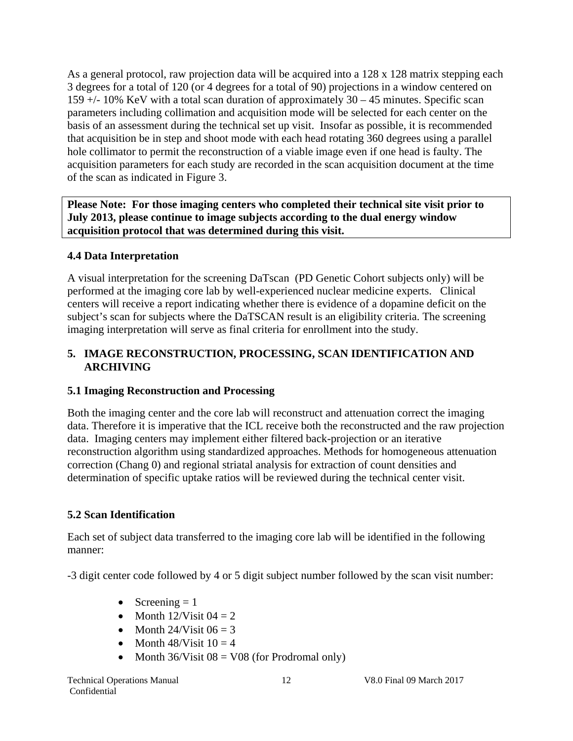As a general protocol, raw projection data will be acquired into a 128 x 128 matrix stepping each 3 degrees for a total of 120 (or 4 degrees for a total of 90) projections in a window centered on 159 +/- 10% KeV with a total scan duration of approximately 30 – 45 minutes. Specific scan parameters including collimation and acquisition mode will be selected for each center on the basis of an assessment during the technical set up visit. Insofar as possible, it is recommended that acquisition be in step and shoot mode with each head rotating 360 degrees using a parallel hole collimator to permit the reconstruction of a viable image even if one head is faulty. The acquisition parameters for each study are recorded in the scan acquisition document at the time of the scan as indicated in Figure 3.

**Please Note: For those imaging centers who completed their technical site visit prior to July 2013, please continue to image subjects according to the dual energy window acquisition protocol that was determined during this visit.** 

#### **4.4 Data Interpretation**

A visual interpretation for the screening DaTscan (PD Genetic Cohort subjects only) will be performed at the imaging core lab by well-experienced nuclear medicine experts. Clinical centers will receive a report indicating whether there is evidence of a dopamine deficit on the subject's scan for subjects where the DaTSCAN result is an eligibility criteria. The screening imaging interpretation will serve as final criteria for enrollment into the study.

#### **5. IMAGE RECONSTRUCTION, PROCESSING, SCAN IDENTIFICATION AND ARCHIVING**

#### **5.1 Imaging Reconstruction and Processing**

Both the imaging center and the core lab will reconstruct and attenuation correct the imaging data. Therefore it is imperative that the ICL receive both the reconstructed and the raw projection data. Imaging centers may implement either filtered back-projection or an iterative reconstruction algorithm using standardized approaches. Methods for homogeneous attenuation correction (Chang 0) and regional striatal analysis for extraction of count densities and determination of specific uptake ratios will be reviewed during the technical center visit.

### **5.2 Scan Identification**

Each set of subject data transferred to the imaging core lab will be identified in the following manner:

-3 digit center code followed by 4 or 5 digit subject number followed by the scan visit number:

- Screening  $= 1$
- Month  $12$ /Visit  $04 = 2$
- Month  $24/V$ isit  $06 = 3$
- Month  $48/\text{Visit } 10 = 4$
- Month  $36/Visit 08 = V08$  (for Prodromal only)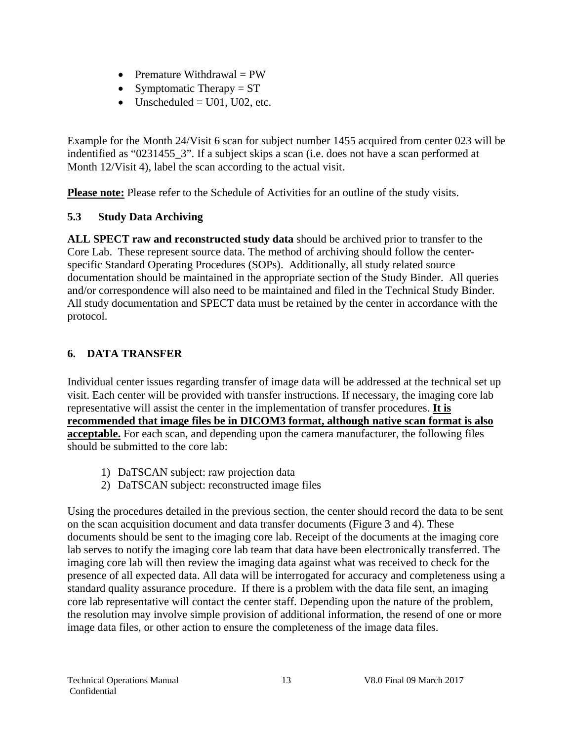- Premature Withdrawal  $= PW$
- Symptomatic Therapy  $= ST$
- Unscheduled  $=$  U01, U02, etc.

Example for the Month 24/Visit 6 scan for subject number 1455 acquired from center 023 will be indentified as "0231455\_3". If a subject skips a scan (i.e. does not have a scan performed at Month 12/Visit 4), label the scan according to the actual visit.

Please note: Please refer to the Schedule of Activities for an outline of the study visits.

#### **5.3 Study Data Archiving**

**ALL SPECT raw and reconstructed study data** should be archived prior to transfer to the Core Lab. These represent source data. The method of archiving should follow the centerspecific Standard Operating Procedures (SOPs). Additionally, all study related source documentation should be maintained in the appropriate section of the Study Binder. All queries and/or correspondence will also need to be maintained and filed in the Technical Study Binder. All study documentation and SPECT data must be retained by the center in accordance with the protocol.

### **6. DATA TRANSFER**

Individual center issues regarding transfer of image data will be addressed at the technical set up visit. Each center will be provided with transfer instructions. If necessary, the imaging core lab representative will assist the center in the implementation of transfer procedures. **It is recommended that image files be in DICOM3 format, although native scan format is also acceptable.** For each scan, and depending upon the camera manufacturer, the following files should be submitted to the core lab:

- 1) DaTSCAN subject: raw projection data
- 2) DaTSCAN subject: reconstructed image files

Using the procedures detailed in the previous section, the center should record the data to be sent on the scan acquisition document and data transfer documents (Figure 3 and 4). These documents should be sent to the imaging core lab. Receipt of the documents at the imaging core lab serves to notify the imaging core lab team that data have been electronically transferred. The imaging core lab will then review the imaging data against what was received to check for the presence of all expected data. All data will be interrogated for accuracy and completeness using a standard quality assurance procedure. If there is a problem with the data file sent, an imaging core lab representative will contact the center staff. Depending upon the nature of the problem, the resolution may involve simple provision of additional information, the resend of one or more image data files, or other action to ensure the completeness of the image data files.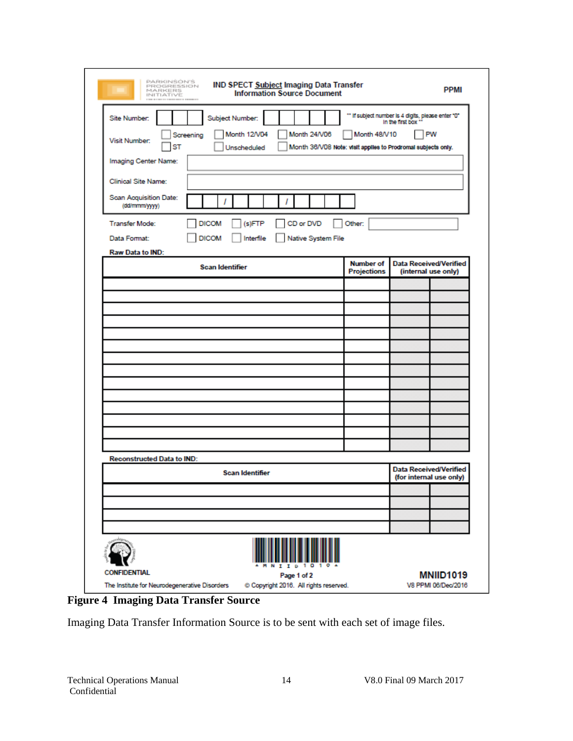| PARKINSON'S<br><b>IND SPECT Subject Imaging Data Transfer</b><br>PROGRESSION<br>MARKERS<br><b>Information Source Document</b><br>INITIATIVE<br>-------- |                  | <b>PPMI</b>                                                                    |
|---------------------------------------------------------------------------------------------------------------------------------------------------------|------------------|--------------------------------------------------------------------------------|
| Site Number:<br>Subject Number:<br>Month 12/V04<br>Month 24/V06<br>Screening                                                                            | Month 48/V10     | " If subject number is 4 digits, please enter "0"<br>In the first box **<br>PW |
| Visit Number:<br>Unscheduled<br>ST                                                                                                                      |                  | Month 36/V08 Note: visit applies to Prodromal subjects only.                   |
| Imaging Center Name:                                                                                                                                    |                  |                                                                                |
| Clinical Site Name:                                                                                                                                     |                  |                                                                                |
| Scan Acquisition Date:<br>(dd/mmm/yyyy)                                                                                                                 |                  |                                                                                |
| <b>Transfer Mode:</b><br><b>DICOM</b><br>CD or DVD<br>(s)FTP                                                                                            | Other:           |                                                                                |
| <b>DICOM</b><br>Data Format:<br>Interfile<br>Native System File                                                                                         |                  |                                                                                |
| Raw Data to IND:                                                                                                                                        | <b>Number of</b> | <b>Data Received/Verified</b>                                                  |
| <b>Scan Identifier</b>                                                                                                                                  | Projections      | (internal use only)                                                            |
|                                                                                                                                                         |                  |                                                                                |
|                                                                                                                                                         |                  |                                                                                |
|                                                                                                                                                         |                  |                                                                                |
|                                                                                                                                                         |                  |                                                                                |
|                                                                                                                                                         |                  |                                                                                |
|                                                                                                                                                         |                  |                                                                                |
|                                                                                                                                                         |                  |                                                                                |
|                                                                                                                                                         |                  |                                                                                |
|                                                                                                                                                         |                  |                                                                                |
|                                                                                                                                                         |                  |                                                                                |
| <b>Reconstructed Data to IND:</b>                                                                                                                       |                  |                                                                                |
| <b>Scan Identifier</b>                                                                                                                                  |                  | <b>Data Received/Verified</b><br>(for internal use only)                       |
|                                                                                                                                                         |                  |                                                                                |
|                                                                                                                                                         |                  |                                                                                |
|                                                                                                                                                         |                  |                                                                                |
|                                                                                                                                                         |                  |                                                                                |
| Dential<br>CONFI<br>Page 1 of 2                                                                                                                         |                  | <b>MNIID1019</b>                                                               |

**Figure 4 Imaging Data Transfer Source** 

Imaging Data Transfer Information Source is to be sent with each set of image files.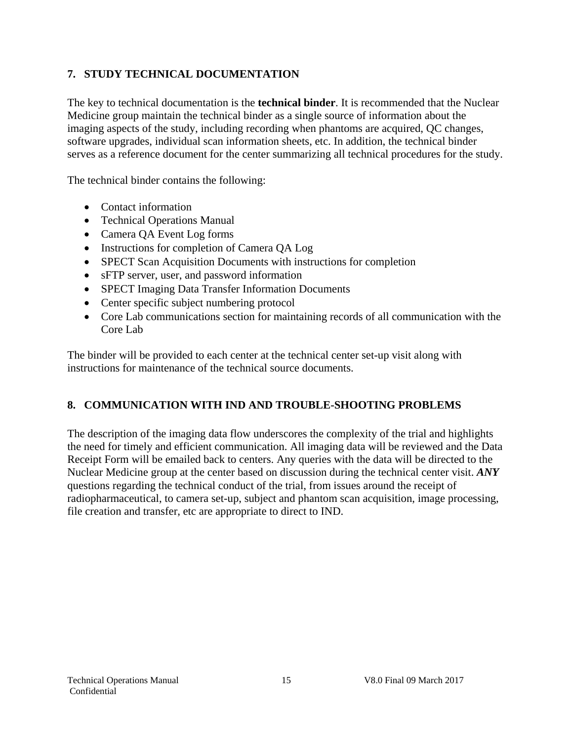## **7. STUDY TECHNICAL DOCUMENTATION**

The key to technical documentation is the **technical binder**. It is recommended that the Nuclear Medicine group maintain the technical binder as a single source of information about the imaging aspects of the study, including recording when phantoms are acquired, QC changes, software upgrades, individual scan information sheets, etc. In addition, the technical binder serves as a reference document for the center summarizing all technical procedures for the study.

The technical binder contains the following:

- Contact information
- Technical Operations Manual
- Camera QA Event Log forms
- Instructions for completion of Camera QA Log
- SPECT Scan Acquisition Documents with instructions for completion
- sFTP server, user, and password information
- SPECT Imaging Data Transfer Information Documents
- Center specific subject numbering protocol
- Core Lab communications section for maintaining records of all communication with the Core Lab

The binder will be provided to each center at the technical center set-up visit along with instructions for maintenance of the technical source documents.

### **8. COMMUNICATION WITH IND AND TROUBLE-SHOOTING PROBLEMS**

The description of the imaging data flow underscores the complexity of the trial and highlights the need for timely and efficient communication. All imaging data will be reviewed and the Data Receipt Form will be emailed back to centers. Any queries with the data will be directed to the Nuclear Medicine group at the center based on discussion during the technical center visit. *ANY* questions regarding the technical conduct of the trial, from issues around the receipt of radiopharmaceutical, to camera set-up, subject and phantom scan acquisition, image processing, file creation and transfer, etc are appropriate to direct to IND.